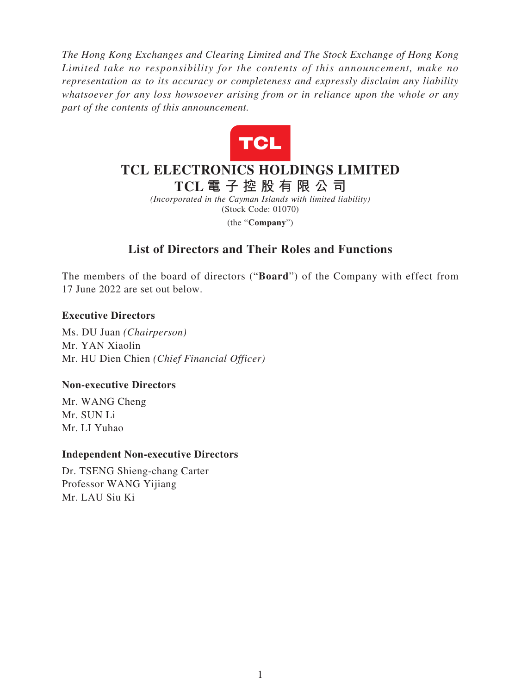*The Hong Kong Exchanges and Clearing Limited and The Stock Exchange of Hong Kong Limited take no responsibility for the contents of this announcement, make no representation as to its accuracy or completeness and expressly disclaim any liability whatsoever for any loss howsoever arising from or in reliance upon the whole or any part of the contents of this announcement.*



# **TCL ELECTRONICS HOLDINGS LIMITED**

**TCL 電子控股有限公司**

*(Incorporated in the Cayman Islands with limited liability)* (Stock Code: 01070) (the "**Company**")

# **List of Directors and Their Roles and Functions**

The members of the board of directors ("**Board**") of the Company with effect from 17 June 2022 are set out below.

## **Executive Directors**

Ms. DU Juan *(Chairperson)* Mr. YAN Xiaolin Mr. HU Dien Chien *(Chief Financial Officer)*

### **Non-executive Directors**

Mr. WANG Cheng Mr. SUN Li Mr. LI Yuhao

### **Independent Non-executive Directors**

Dr. TSENG Shieng-chang Carter Professor WANG Yijiang Mr. LAU Siu Ki